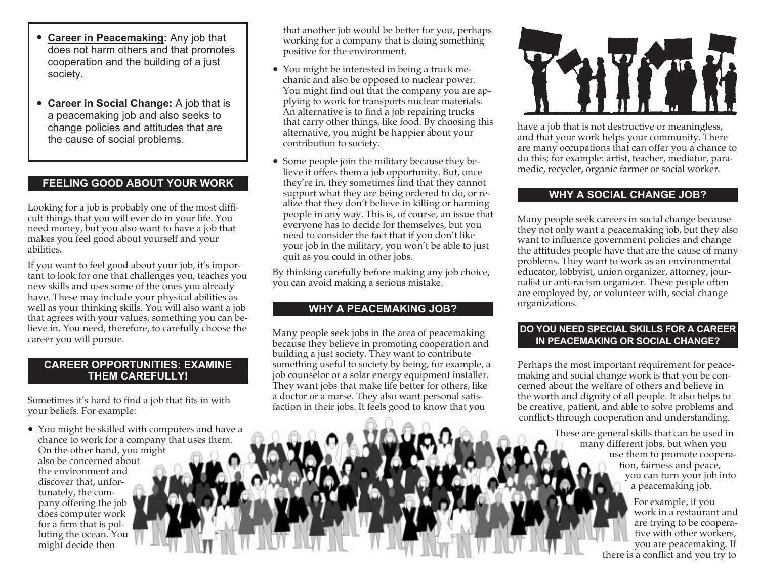- **Career in Peacemaking:** Any job that does not harm others and that promotes cooperation and the building of <sup>a</sup> just society.
- **Career in Social Change:** A job that is <sup>a</sup> peacemaking job and also seeks to change policies and attitudes that are the cause of social problems.

# **FEELING GOOD ABOUT YOUR WORK**

Looking for <sup>a</sup> job is probably one of the most difficult things that you will ever do in your life. You need money, but you also want to have <sup>a</sup> job that makes you feel good about yourself and your abilities.

If you want to feel good about your job, it's important to look for one that challenges you, teaches you new skills and uses some of the ones you already have. These may include your physical abilities as well as your thinking skills. You will also want <sup>a</sup> job that agrees with your values, something you can believe in. You need, therefore, to carefully choose the career you will pursue.

#### **CAREER OPPORTUNITIES: EXAMINETHEM CAREFULLY!**

Sometimes it's hard to find <sup>a</sup> job that fits in with your beliefs. For example:

• You might be skilled with computers and have <sup>a</sup> chance to work for <sup>a</sup> company that uses them. On the other hand, you might also be concerned aboutthe environment anddiscover that, unfortunately, the company offering the job does computer work for <sup>a</sup> firm that is polluting the ocean. You might decide then

that another job would be better for you, perhaps working for <sup>a</sup> company that is doing something positive for the environment.

- You might be interested in being <sup>a</sup> truck mechanic and also be opposed to nuclear power. You might find out that the company you are applying to work for transports nuclear materials. An alternative is to find <sup>a</sup> job repairing trucks that carry other things, like food. By choosing this alternative, you might be happier about your contribution to society.
- Some people join the military because they believe it offers them <sup>a</sup> job opportunity. But, once they're in, they sometimes find that they cannot suppor<sup>t</sup> what they are being ordered to do, or realize that they don't believe in killing or harming people in any way. This is, of course, an issue that everyone has to decide for themselves, but you need to consider the fact that if you don't like your job in the military, you won't be able to just quit as you could in other jobs.

By thinking carefully before making any job choice, you can avoid making <sup>a</sup> serious mistake.

# **WHY A PEACEMAKING JOB?**

Many people seek jobs in the area of peacemaking because they believe in promoting cooperation and building <sup>a</sup> just society. They want to contribute something useful to society by being, for example, <sup>a</sup> job counselor or <sup>a</sup> solar energy equipment installer. They want jobs that make life better for others, like <sup>a</sup> doctor or <sup>a</sup> nurse. They also want personal satisfaction in their jobs. It feels good to know that you



have <sup>a</sup> job that is not destructive or meaningless, and that your work helps your community. There are many occupations that can offer you <sup>a</sup> chance to do this; for example: artist, teacher, mediator, paramedic, recycler, organic farmer or social worker.

### **WHY A SOCIAL CHANGE JOB?**

Many people seek careers in social change because they not only want <sup>a</sup> peacemaking job, but they also want to influence governmen<sup>t</sup> policies and change the attitudes people have that are the cause of many problems. They want to work as an environmental educator, lobbyist, union organizer, attorney, journalist or anti-racism organizer. These people often are employed by, or volunteer with, social change organizations.

#### **DO YOU NEED SPECIAL SKILLS FOR A CAREERIN PEACEMAKING OR SOCIAL CHANGE?**

Perhaps the most important requirement for peacemaking and social change work is that you be concerned about the welfare of others and believe inthe worth and dignity of all people. It also helps to be creative, patient, and able to solve problems and conflicts through cooperation and understanding.

> These are general skills that can be used in many different jobs, but when you use them to promote cooperation, fairness and peace, you can turn your job into <sup>a</sup> peacemaking job.

> > For example, if you work in <sup>a</sup> restaurant andare trying to be cooperative with other workers, you are peacemaking. If there is <sup>a</sup> conflict and you try to